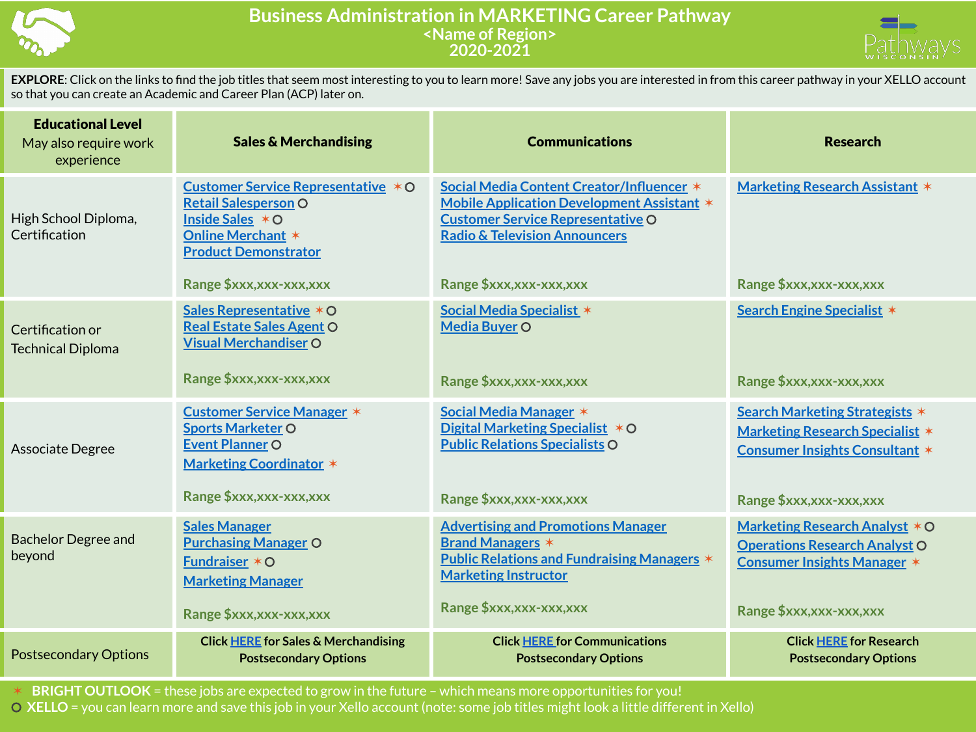

## **Business Administration in MARKETING Career Pathway <Name of Region> 2020-2021**



**EXPLORE**: Click on the links to find the job titles that seem most interesting to you to learn more! Save any jobs you are interested in from this career pathway in your XELLO account so that you can create an Academic and Career Plan (ACP) later on.

| <b>Educational Level</b><br>May also require work<br>experience | <b>Sales &amp; Merchandising</b>                                                                                                                    | <b>Communications</b>                                                                                                                                                                  | <b>Research</b>                                                                                                   |
|-----------------------------------------------------------------|-----------------------------------------------------------------------------------------------------------------------------------------------------|----------------------------------------------------------------------------------------------------------------------------------------------------------------------------------------|-------------------------------------------------------------------------------------------------------------------|
| High School Diploma,<br>Certification                           | Customer Service Representative * O<br><b>Retail Salesperson O</b><br>Inside Sales $*$ O<br><b>Online Merchant *</b><br><b>Product Demonstrator</b> | Social Media Content Creator/Influencer *<br><b>Mobile Application Development Assistant *</b><br><b>Customer Service Representative O</b><br><b>Radio &amp; Television Announcers</b> | <b>Marketing Research Assistant *</b>                                                                             |
|                                                                 | Range \$xxx,xxx-xxx,xxx                                                                                                                             | Range \$xxx,xxx-xxx,xxx                                                                                                                                                                | Range \$xxx, xxx-xxx, xxx                                                                                         |
| Certification or<br><b>Technical Diploma</b>                    | Sales Representative * O<br><b>Real Estate Sales Agent O</b><br><b>Visual Merchandiser O</b>                                                        | Social Media Specialist *<br>Media Buyer O                                                                                                                                             | Search Engine Specialist *                                                                                        |
|                                                                 | Range \$xxx,xxx-xxx,xxx                                                                                                                             | Range \$xxx,xxx-xxx,xxx                                                                                                                                                                | Range \$xxx,xxx-xxx,xxx                                                                                           |
| Associate Degree                                                | <b>Customer Service Manager *</b><br><b>Sports Marketer O</b><br><b>Event Planner O</b><br><b>Marketing Coordinator *</b>                           | Social Media Manager *<br>Digital Marketing Specialist * O<br><b>Public Relations Specialists O</b>                                                                                    | Search Marketing Strategists *<br><b>Marketing Research Specialist *</b><br><b>Consumer Insights Consultant *</b> |
|                                                                 | Range \$xxx,xxx-xxx,xxx                                                                                                                             | Range \$xxx,xxx-xxx,xxx                                                                                                                                                                | Range \$xxx,xxx-xxx,xxx                                                                                           |
| <b>Bachelor Degree and</b><br>beyond                            | <b>Sales Manager</b><br><b>Purchasing Manager O</b><br><b>Fundraiser <math>*</math> O</b><br><b>Marketing Manager</b>                               | <b>Advertising and Promotions Manager</b><br><b>Brand Managers *</b><br><b>Public Relations and Fundraising Managers *</b><br><b>Marketing Instructor</b>                              | Marketing Research Analyst * O<br><b>Operations Research Analyst O</b><br><b>Consumer Insights Manager *</b>      |
|                                                                 | Range \$xxx, xxx-xxx, xxx                                                                                                                           | Range \$xxx,xxx-xxx,xxx                                                                                                                                                                | Range \$xxx,xxx-xxx,xxx                                                                                           |
| <b>Postsecondary Options</b>                                    | <b>Click HERE for Sales &amp; Merchandising</b><br><b>Postsecondary Options</b>                                                                     | <b>Click HERE for Communications</b><br><b>Postsecondary Options</b>                                                                                                                   | <b>Click HERE for Research</b><br><b>Postsecondary Options</b>                                                    |

✶ **BRIGHT OUTLOOK** = these jobs are expected to grow in the future – which means more opportunities for you!

⚪ **XELLO** = you can learn more and save this job in your Xello account (note: some job titles might look a little different in Xello)